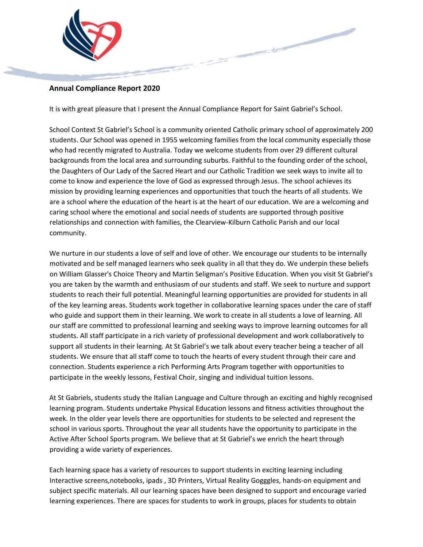

### **Annual Compliance Report 2020**

It is with great pleasure that I present the Annual Compliance Report for Saint Gabriel's School.

School Context St Gabriel's School is a community oriented Catholic primary school of approximately 200 students. Our School was opened in 1955 welcoming families from the local community especially those who had recently migrated to Australia. Today we welcome students from over 29 different cultural backgrounds from the local area and surrounding suburbs. Faithful to the founding order of the school, the Daughters of Our Lady of the Sacred Heart and our Catholic Tradition we seek ways to invite all to come to know and experience the love of God as expressed through Jesus. The school achieves its mission by providing learning experiences and opportunities that touch the hearts of all students. We are a school where the education of the heart is at the heart of our education. We are a welcoming and caring school where the emotional and social needs of students are supported through positive relationships and connection with families, the Clearview-Kilburn Catholic Parish and our local community.

We nurture in our students a love of self and love of other. We encourage our students to be internally motivated and be self managed learners who seek quality in all that they do. We underpin these beliefs on William Glasser's Choice Theory and Martin Seligman's Positive Education. When you visit St Gabriel's you are taken by the warmth and enthusiasm of our students and staff. We seek to nurture and support students to reach their full potential. Meaningful learning opportunities are provided for students in all of the key learning areas. Students work together in collaborative learning spaces under the care of staff who guide and support them in their learning. We work to create in all students a love of learning. All our staff are committed to professional learning and seeking ways to improve learning outcomes for all students. All staff participate in a rich variety of professional development and work collaboratively to support all students in their learning. At St Gabriel's we talk about every teacher being a teacher of all students. We ensure that all staff come to touch the hearts of every student through their care and connection. Students experience a rich Performing Arts Program together with opportunities to participate in the weekly lessons, Festival Choir, singing and individual tuition lessons.

At St Gabriels, students study the Italian Language and Culture through an exciting and highly recognised learning program. Students undertake Physical Education lessons and fitness activities throughout the week. In the older year levels there are opportunities for students to be selected and represent the school in various sports. Throughout the year all students have the opportunity to participate in the Active After School Sports program. We believe that at St Gabriel's we enrich the heart through providing a wide variety of experiences.

Each learning space has a variety of resources to support students in exciting learning including Interactive screens,notebooks, ipads , 3D Printers, Virtual Reality Gogggles, hands-on equipment and subject specific materials. All our learning spaces have been designed to support and encourage varied learning experiences. There are spaces for students to work in groups, places for students to obtain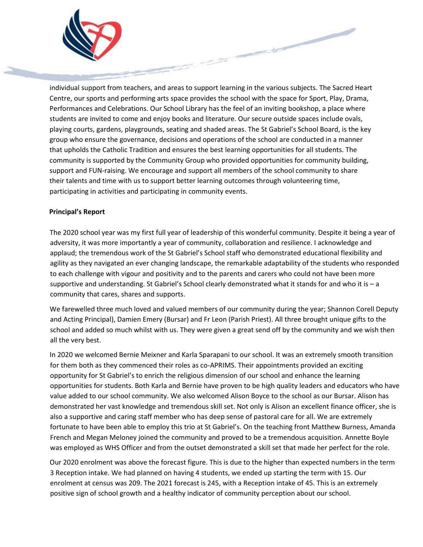

individual support from teachers, and areas to support learning in the various subjects. The Sacred Heart Centre, our sports and performing arts space provides the school with the space for Sport, Play, Drama, Performances and Celebrations. Our School Library has the feel of an inviting bookshop, a place where students are invited to come and enjoy books and literature. Our secure outside spaces include ovals, playing courts, gardens, playgrounds, seating and shaded areas. The St Gabriel's School Board, is the key group who ensure the governance, decisions and operations of the school are conducted in a manner that upholds the Catholic Tradition and ensures the best learning opportunities for all students. The community is supported by the Community Group who provided opportunities for community building, support and FUN-raising. We encourage and support all members of the school community to share their talents and time with us to support better learning outcomes through volunteering time, participating in activities and participating in community events.

**Contract Contract Contract Contract Contract Contract Contract Contract Contract Contract Contract Contract Contract Contract Contract Contract Contract Contract Contract Contract Contract Contract Contract Contract Contr** 

#### **Principal's Report**

The 2020 school year was my first full year of leadership of this wonderful community. Despite it being a year of adversity, it was more importantly a year of community, collaboration and resilience. I acknowledge and applaud; the tremendous work of the St Gabriel's School staff who demonstrated educational flexibility and agility as they navigated an ever changing landscape, the remarkable adaptability of the students who responded to each challenge with vigour and positivity and to the parents and carers who could not have been more supportive and understanding. St Gabriel's School clearly demonstrated what it stands for and who it is - a community that cares, shares and supports.

We farewelled three much loved and valued members of our community during the year; Shannon Corell Deputy and Acting Principal), Damien Emery (Bursar) and Fr Leon (Parish Priest). All three brought unique gifts to the school and added so much whilst with us. They were given a great send off by the community and we wish then all the very best.

In 2020 we welcomed Bernie Meixner and Karla Sparapani to our school. It was an extremely smooth transition for them both as they commenced their roles as co-APRIMS. Their appointments provided an exciting opportunity for St Gabriel's to enrich the religious dimension of our school and enhance the learning opportunities for students. Both Karla and Bernie have proven to be high quality leaders and educators who have value added to our school community. We also welcomed Alison Boyce to the school as our Bursar. Alison has demonstrated her vast knowledge and tremendous skill set. Not only is Alison an excellent finance officer, she is also a supportive and caring staff member who has deep sense of pastoral care for all. We are extremely fortunate to have been able to employ this trio at St Gabriel's. On the teaching front Matthew Burness, Amanda French and Megan Meloney joined the community and proved to be a tremendous acquisition. Annette Boyle was employed as WHS Officer and from the outset demonstrated a skill set that made her perfect for the role.

Our 2020 enrolment was above the forecast figure. This is due to the higher than expected numbers in the term 3 Reception intake. We had planned on having 4 students, we ended up starting the term with 15. Our enrolment at census was 209. The 2021 forecast is 245, with a Reception intake of 45. This is an extremely positive sign of school growth and a healthy indicator of community perception about our school.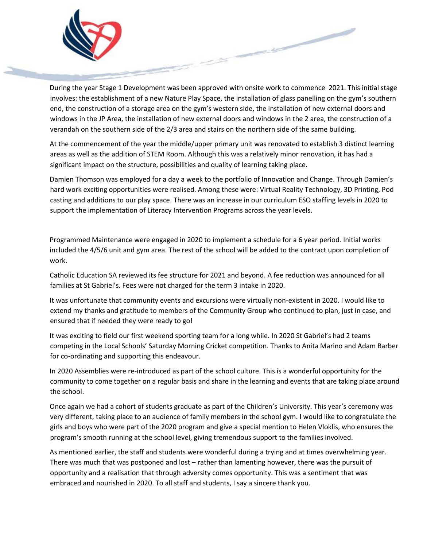

During the year Stage 1 Development was been approved with onsite work to commence 2021. This initial stage involves: the establishment of a new Nature Play Space, the installation of glass panelling on the gym's southern end, the construction of a storage area on the gym's western side, the installation of new external doors and windows in the JP Area, the installation of new external doors and windows in the 2 area, the construction of a verandah on the southern side of the 2/3 area and stairs on the northern side of the same building.

At the commencement of the year the middle/upper primary unit was renovated to establish 3 distinct learning areas as well as the addition of STEM Room. Although this was a relatively minor renovation, it has had a significant impact on the structure, possibilities and quality of learning taking place.

Damien Thomson was employed for a day a week to the portfolio of Innovation and Change. Through Damien's hard work exciting opportunities were realised. Among these were: Virtual Reality Technology, 3D Printing, Pod casting and additions to our play space. There was an increase in our curriculum ESO staffing levels in 2020 to support the implementation of Literacy Intervention Programs across the year levels.

Programmed Maintenance were engaged in 2020 to implement a schedule for a 6 year period. Initial works included the 4/5/6 unit and gym area. The rest of the school will be added to the contract upon completion of work.

Catholic Education SA reviewed its fee structure for 2021 and beyond. A fee reduction was announced for all families at St Gabriel's. Fees were not charged for the term 3 intake in 2020.

It was unfortunate that community events and excursions were virtually non-existent in 2020. I would like to extend my thanks and gratitude to members of the Community Group who continued to plan, just in case, and ensured that if needed they were ready to go!

It was exciting to field our first weekend sporting team for a long while. In 2020 St Gabriel's had 2 teams competing in the Local Schools' Saturday Morning Cricket competition. Thanks to Anita Marino and Adam Barber for co-ordinating and supporting this endeavour.

In 2020 Assemblies were re-introduced as part of the school culture. This is a wonderful opportunity for the community to come together on a regular basis and share in the learning and events that are taking place around the school.

Once again we had a cohort of students graduate as part of the Children's University. This year's ceremony was very different, taking place to an audience of family members in the school gym. I would like to congratulate the girls and boys who were part of the 2020 program and give a special mention to Helen Vloklis, who ensures the program's smooth running at the school level, giving tremendous support to the families involved.

As mentioned earlier, the staff and students were wonderful during a trying and at times overwhelming year. There was much that was postponed and lost – rather than lamenting however, there was the pursuit of opportunity and a realisation that through adversity comes opportunity. This was a sentiment that was embraced and nourished in 2020. To all staff and students, I say a sincere thank you.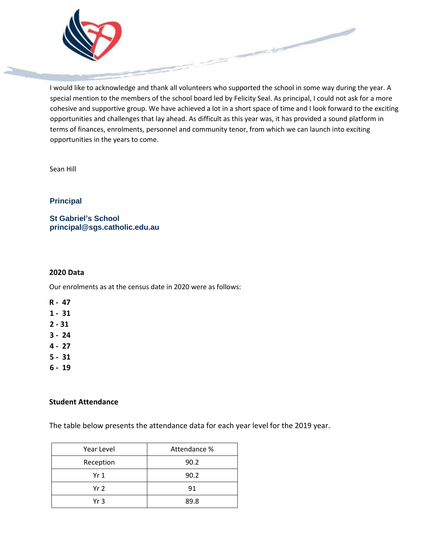

I would like to acknowledge and thank all volunteers who supported the school in some way during the year. A special mention to the members of the school board led by Felicity Seal. As principal, I could not ask for a more cohesive and supportive group. We have achieved a lot in a short space of time and I look forward to the exciting opportunities and challenges that lay ahead. As difficult as this year was, it has provided a sound platform in terms of finances, enrolments, personnel and community tenor, from which we can launch into exciting opportunities in the years to come.

Sean Hill

# **Principal**

**St Gabriel's School principal@sgs.catholic.edu.au**

#### **2020 Data**

Our enrolments as at the census date in 2020 were as follows:

- **R 47**
- **1 31**
- **2 - 31**
- **3 24**
- **4 27**
- **5 31**
- **6 19**

#### **Student Attendance**

The table below presents the attendance data for each year level for the 2019 year.

| Year Level      | Attendance % |  |  |
|-----------------|--------------|--|--|
| Reception       | 90.2         |  |  |
| Yr <sub>1</sub> | 90.2         |  |  |
| Yr 2            | 91           |  |  |
| Yr 3            | 89.8         |  |  |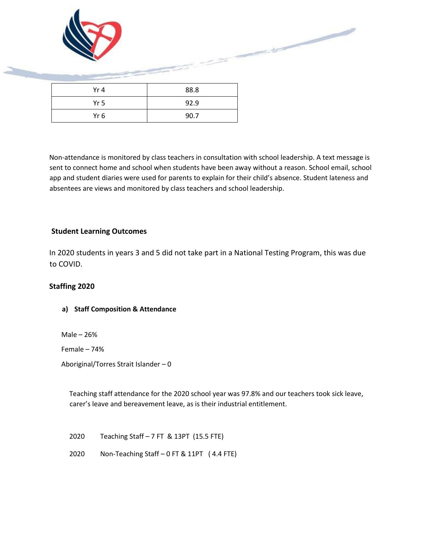

Non-attendance is monitored by class teachers in consultation with school leadership. A text message is sent to connect home and school when students have been away without a reason. School email, school app and student diaries were used for parents to explain for their child's absence. Student lateness and absentees are views and monitored by class teachers and school leadership.

# **Student Learning Outcomes**

In 2020 students in years 3 and 5 did not take part in a National Testing Program, this was due to COVID.

# **Staffing 2020**

# **a) Staff Composition & Attendance**

Male – 26%

Female – 74%

Aboriginal/Torres Strait Islander – 0

Teaching staff attendance for the 2020 school year was 97.8% and our teachers took sick leave, carer's leave and bereavement leave, as is their industrial entitlement.

2020 Teaching Staff – 7 FT & 13PT (15.5 FTE)

2020 Non-Teaching Staff – 0 FT & 11PT ( 4.4 FTE)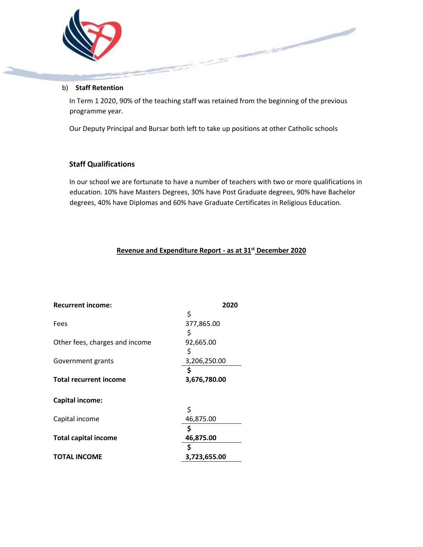

#### b) **Staff Retention**

In Term 1 2020, 90% of the teaching staff was retained from the beginning of the previous programme year.

Our Deputy Principal and Bursar both left to take up positions at other Catholic schools

# **Staff Qualifications**

In our school we are fortunate to have a number of teachers with two or more qualifications in education. 10% have Masters Degrees, 30% have Post Graduate degrees, 90% have Bachelor degrees, 40% have Diplomas and 60% have Graduate Certificates in Religious Education.

# **Revenue and Expenditure Report - as at 31st December 2020**

| <b>Recurrent income:</b>       | 2020         |  |  |
|--------------------------------|--------------|--|--|
|                                | \$           |  |  |
| Fees                           | 377,865.00   |  |  |
|                                | \$           |  |  |
| Other fees, charges and income | 92,665.00    |  |  |
|                                | \$           |  |  |
| Government grants              | 3,206,250.00 |  |  |
|                                | \$           |  |  |
| <b>Total recurrent income</b>  | 3,676,780.00 |  |  |
|                                |              |  |  |
| <b>Capital income:</b>         |              |  |  |
|                                | \$           |  |  |
| Capital income                 | 46,875.00    |  |  |
|                                | \$           |  |  |
| <b>Total capital income</b>    | 46,875.00    |  |  |
|                                | \$           |  |  |
| <b>TOTAL INCOME</b>            | 3,723,655.00 |  |  |
|                                |              |  |  |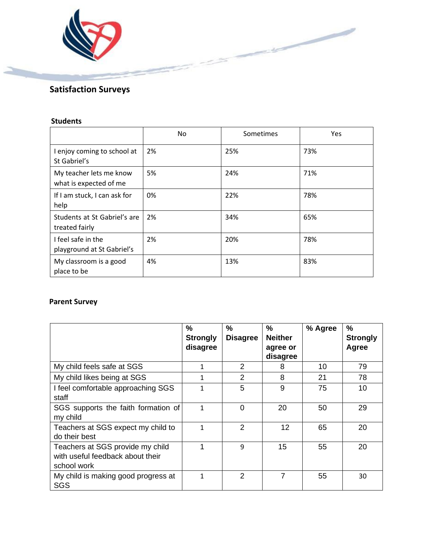

# **Satisfaction Surveys**

# **Students**

|                                                   | No. | Sometimes | Yes |
|---------------------------------------------------|-----|-----------|-----|
| I enjoy coming to school at<br>St Gabriel's       | 2%  | 25%       | 73% |
| My teacher lets me know<br>what is expected of me | 5%  | 24%       | 71% |
| If I am stuck, I can ask for<br>help              | 0%  | 22%       | 78% |
| Students at St Gabriel's are<br>treated fairly    | 2%  | 34%       | 65% |
| I feel safe in the<br>playground at St Gabriel's  | 2%  | 20%       | 78% |
| My classroom is a good<br>place to be             | 4%  | 13%       | 83% |

# **Parent Survey**

|                                                                                     | $\frac{0}{0}$<br><b>Strongly</b><br>disagree | $\frac{0}{0}$<br><b>Disagree</b> | %<br><b>Neither</b><br>agree or<br>disagree | % Agree | $\frac{9}{6}$<br><b>Strongly</b><br>Agree |
|-------------------------------------------------------------------------------------|----------------------------------------------|----------------------------------|---------------------------------------------|---------|-------------------------------------------|
| My child feels safe at SGS                                                          | 1                                            | $\mathcal{P}$                    | 8                                           | 10      | 79                                        |
| My child likes being at SGS                                                         | 1                                            | 2                                | 8                                           | 21      | 78                                        |
| I feel comfortable approaching SGS<br>staff                                         | $\mathbf{1}$                                 | 5                                | 9                                           | 75      | 10                                        |
| SGS supports the faith formation of<br>my child                                     | 1                                            | $\Omega$                         | 20                                          | 50      | 29                                        |
| Teachers at SGS expect my child to<br>do their best                                 | 1                                            | 2                                | 12                                          | 65      | 20                                        |
| Teachers at SGS provide my child<br>with useful feedback about their<br>school work |                                              | 9                                | 15                                          | 55      | 20                                        |
| My child is making good progress at<br>SGS                                          | 1                                            | 2                                | 7                                           | 55      | 30                                        |